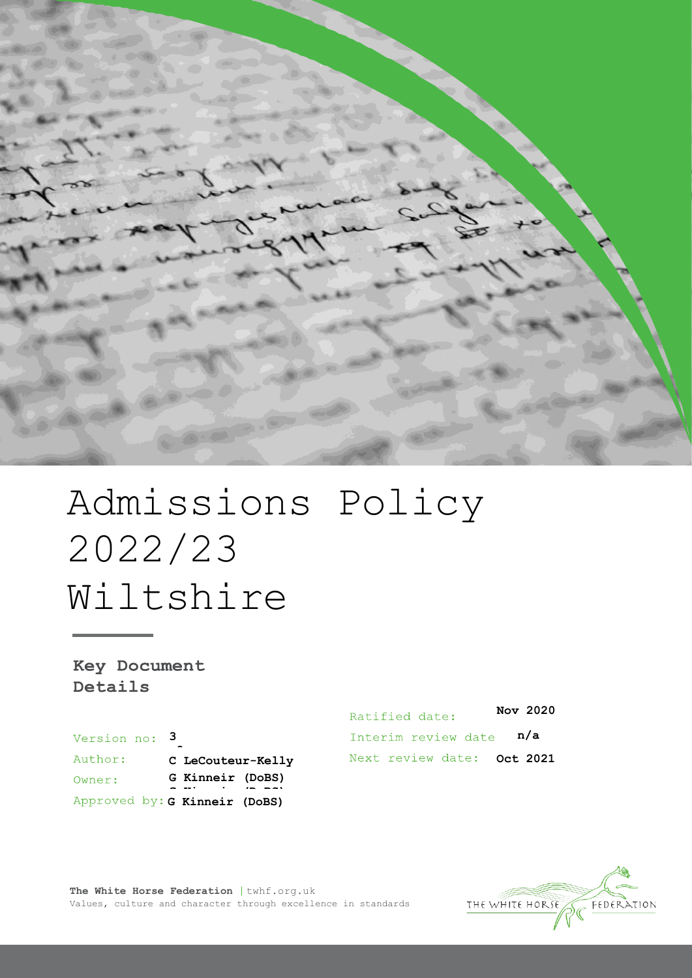

# Admissions Policy 2022/23 Wiltshire

Key Document Details

Version no: 3 Author: C LeCouteur-Kelly **G Kinneir (DoBS)** Owner: **G Kinneir (DoBS) G Kinneir (DoBS)**

**Nov 2020** Ratified date: **n/a** Interim review date Next review date: Oct 2021

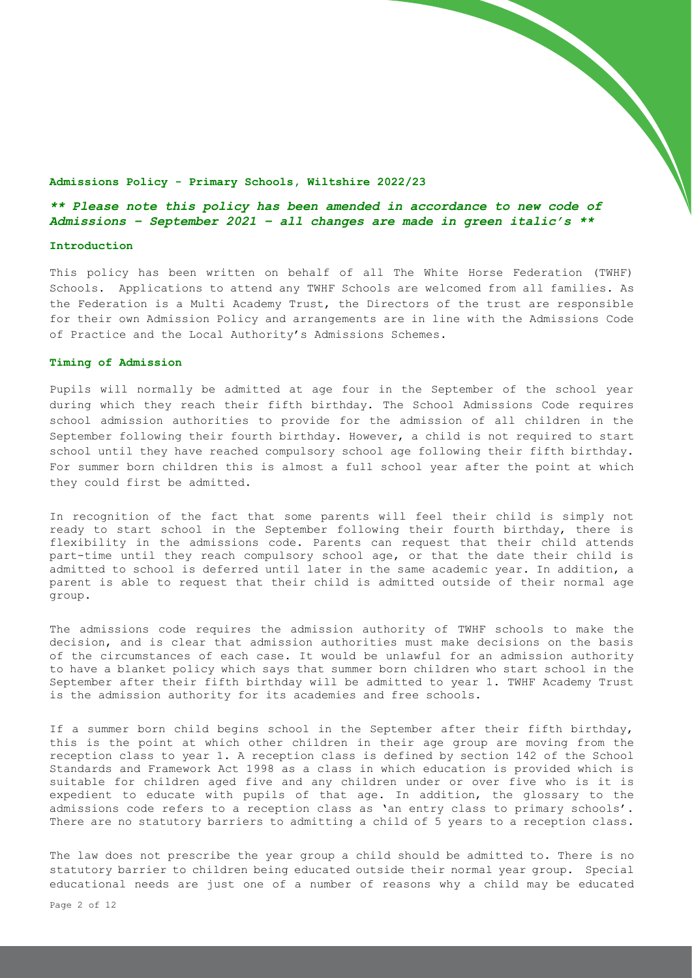#### **Admissions Policy - Primary Schools, Wiltshire 2022/23**

# *\*\* Please note this policy has been amended in accordance to new code of Admissions – September 2021 – all changes are made in green italic's \*\**

## **Introduction**

This policy has been written on behalf of all The White Horse Federation (TWHF) Schools. Applications to attend any TWHF Schools are welcomed from all families. As the Federation is a Multi Academy Trust, the Directors of the trust are responsible for their own Admission Policy and arrangements are in line with the Admissions Code of Practice and the Local Authority's Admissions Schemes.

## **Timing of Admission**

Pupils will normally be admitted at age four in the September of the school year during which they reach their fifth birthday. The School Admissions Code requires school admission authorities to provide for the admission of all children in the September following their fourth birthday. However, a child is not required to start school until they have reached compulsory school age following their fifth birthday. For summer born children this is almost a full school year after the point at which they could first be admitted.

In recognition of the fact that some parents will feel their child is simply not ready to start school in the September following their fourth birthday, there is flexibility in the admissions code. Parents can request that their child attends part-time until they reach compulsory school age, or that the date their child is admitted to school is deferred until later in the same academic year. In addition, a parent is able to request that their child is admitted outside of their normal age group.

The admissions code requires the admission authority of TWHF schools to make the decision, and is clear that admission authorities must make decisions on the basis of the circumstances of each case. It would be unlawful for an admission authority to have a blanket policy which says that summer born children who start school in the September after their fifth birthday will be admitted to year 1. TWHF Academy Trust is the admission authority for its academies and free schools.

If a summer born child begins school in the September after their fifth birthday, this is the point at which other children in their age group are moving from the reception class to year 1. A reception class is defined by section 142 of the School Standards and Framework Act 1998 as a class in which education is provided which is suitable for children aged five and any children under or over five who is it is expedient to educate with pupils of that age. In addition, the glossary to the admissions code refers to a reception class as 'an entry class to primary schools'. There are no statutory barriers to admitting a child of 5 years to a reception class.

The law does not prescribe the year group a child should be admitted to. There is no statutory barrier to children being educated outside their normal year group. Special educational needs are just one of a number of reasons why a child may be educated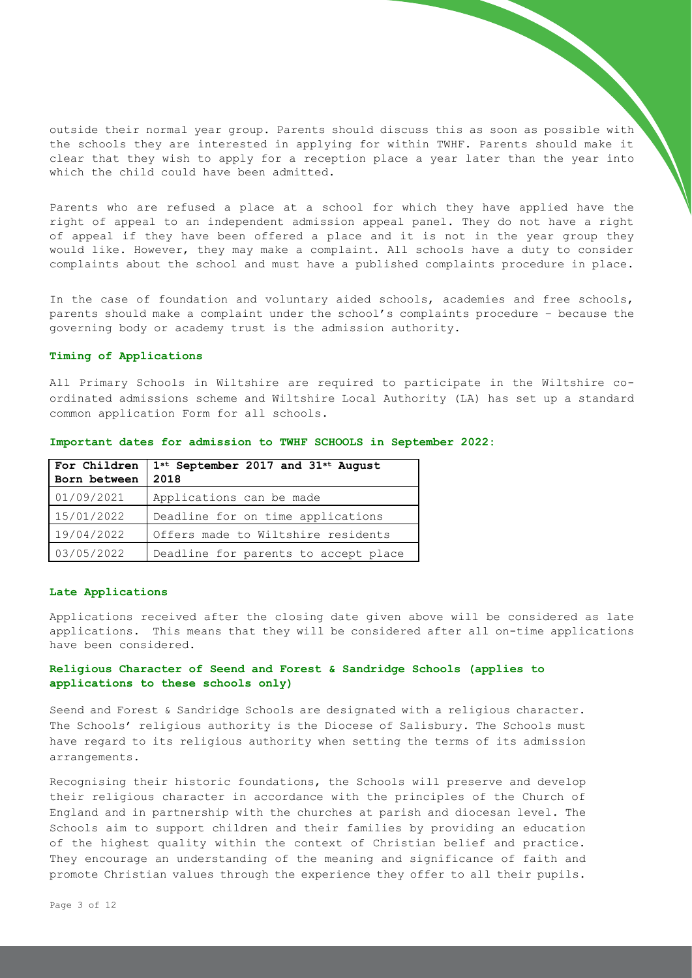outside their normal year group. Parents should discuss this as soon as possible with the schools they are interested in applying for within TWHF. Parents should make it clear that they wish to apply for a reception place a year later than the year into which the child could have been admitted.

Parents who are refused a place at a school for which they have applied have the right of appeal to an independent admission appeal panel. They do not have a right of appeal if they have been offered a place and it is not in the year group they would like. However, they may make a complaint. All schools have a duty to consider complaints about the school and must have a published complaints procedure in place.

In the case of foundation and voluntary aided schools, academies and free schools, parents should make a complaint under the school's complaints procedure – because the governing body or academy trust is the admission authority.

## **Timing of Applications**

All Primary Schools in Wiltshire are required to participate in the Wiltshire coordinated admissions scheme and Wiltshire Local Authority (LA) has set up a standard common application Form for all schools.

| For Children<br>Born between | 1st September 2017 and 31st August<br>2018 |
|------------------------------|--------------------------------------------|
| 01/09/2021                   | Applications can be made                   |
| 15/01/2022                   | Deadline for on time applications          |
| 19/04/2022                   | Offers made to Wiltshire residents         |
| 03/05/2022                   | Deadline for parents to accept place       |

**Important dates for admission to TWHF SCHOOLS in September 2022:** 

#### **Late Applications**

Applications received after the closing date given above will be considered as late applications. This means that they will be considered after all on-time applications have been considered.

# **Religious Character of Seend and Forest & Sandridge Schools (applies to applications to these schools only)**

Seend and Forest & Sandridge Schools are designated with a religious character. The Schools' religious authority is the Diocese of Salisbury. The Schools must have regard to its religious authority when setting the terms of its admission arrangements.

Recognising their historic foundations, the Schools will preserve and develop their religious character in accordance with the principles of the Church of England and in partnership with the churches at parish and diocesan level. The Schools aim to support children and their families by providing an education of the highest quality within the context of Christian belief and practice. They encourage an understanding of the meaning and significance of faith and promote Christian values through the experience they offer to all their pupils.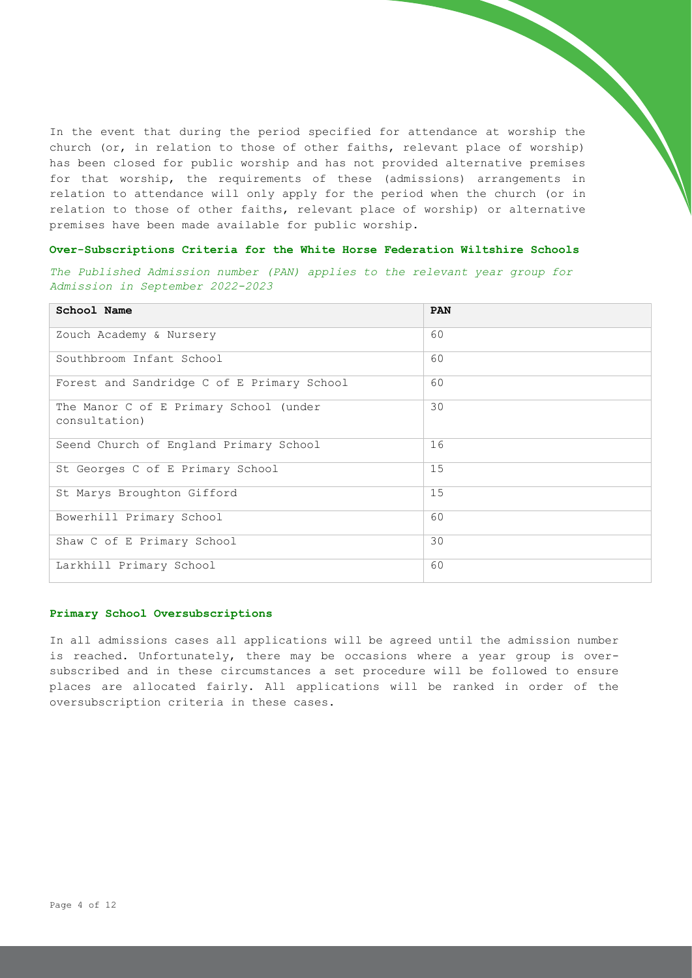In the event that during the period specified for attendance at worship the church (or, in relation to those of other faiths, relevant place of worship) has been closed for public worship and has not provided alternative premises for that worship, the requirements of these (admissions) arrangements in relation to attendance will only apply for the period when the church (or in relation to those of other faiths, relevant place of worship) or alternative premises have been made available for public worship.

## **Over-Subscriptions Criteria for the White Horse Federation Wiltshire Schools**

*The Published Admission number (PAN) applies to the relevant year group for Admission in September 2022-2023*

| School Name                                             | <b>PAN</b> |
|---------------------------------------------------------|------------|
| Zouch Academy & Nursery                                 | 60         |
| Southbroom Infant School                                | 60         |
| Forest and Sandridge C of E Primary School              | 60         |
| The Manor C of E Primary School (under<br>consultation) | 30         |
| Seend Church of England Primary School                  | 16         |
| St Georges C of E Primary School                        | 15         |
| St Marys Broughton Gifford                              | 15         |
| Bowerhill Primary School                                | 60         |
| Shaw C of E Primary School                              | 30         |
| Larkhill Primary School                                 | 60         |

#### **Primary School Oversubscriptions**

In all admissions cases all applications will be agreed until the admission number is reached. Unfortunately, there may be occasions where a year group is oversubscribed and in these circumstances a set procedure will be followed to ensure places are allocated fairly. All applications will be ranked in order of the oversubscription criteria in these cases.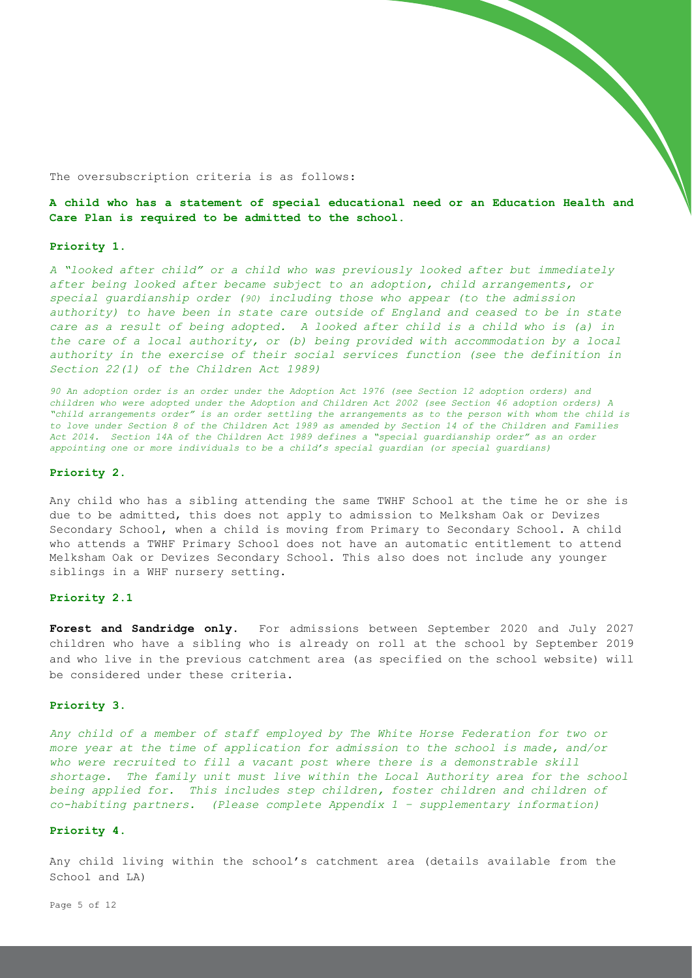The oversubscription criteria is as follows:

**A child who has a statement of special educational need or an Education Health and Care Plan is required to be admitted to the school.**

## **Priority 1.**

*A "looked after child" or a child who was previously looked after but immediately after being looked after became subject to an adoption, child arrangements, or special guardianship order (90) including those who appear (to the admission authority) to have been in state care outside of England and ceased to be in state care as a result of being adopted. A looked after child is a child who is (a) in the care of a local authority, or (b) being provided with accommodation by a local authority in the exercise of their social services function (see the definition in Section 22(1) of the Children Act 1989)*

*90 An adoption order is an order under the Adoption Act 1976 (see Section 12 adoption orders) and children who were adopted under the Adoption and Children Act 2002 (see Section 46 adoption orders) A "child arrangements order" is an order settling the arrangements as to the person with whom the child is to love under Section 8 of the Children Act 1989 as amended by Section 14 of the Children and Families Act 2014. Section 14A of the Children Act 1989 defines a "special guardianship order" as an order appointing one or more individuals to be a child's special guardian (or special guardians)*

#### **Priority 2.**

Any child who has a sibling attending the same TWHF School at the time he or she is due to be admitted, this does not apply to admission to Melksham Oak or Devizes Secondary School, when a child is moving from Primary to Secondary School. A child who attends a TWHF Primary School does not have an automatic entitlement to attend Melksham Oak or Devizes Secondary School. This also does not include any younger siblings in a WHF nursery setting.

#### **Priority 2.1**

**Forest and Sandridge only.** For admissions between September 2020 and July 2027 children who have a sibling who is already on roll at the school by September 2019 and who live in the previous catchment area (as specified on the school website) will be considered under these criteria.

## **Priority 3**.

*Any child of a member of staff employed by The White Horse Federation for two or more year at the time of application for admission to the school is made, and/or*  who were recruited to fill a vacant post where there is a demonstrable skill *shortage. The family unit must live within the Local Authority area for the school being applied for. This includes step children, foster children and children of co-habiting partners. (Please complete Appendix 1 – supplementary information)* 

#### **Priority 4**.

Any child living within the school's catchment area (details available from the School and LA)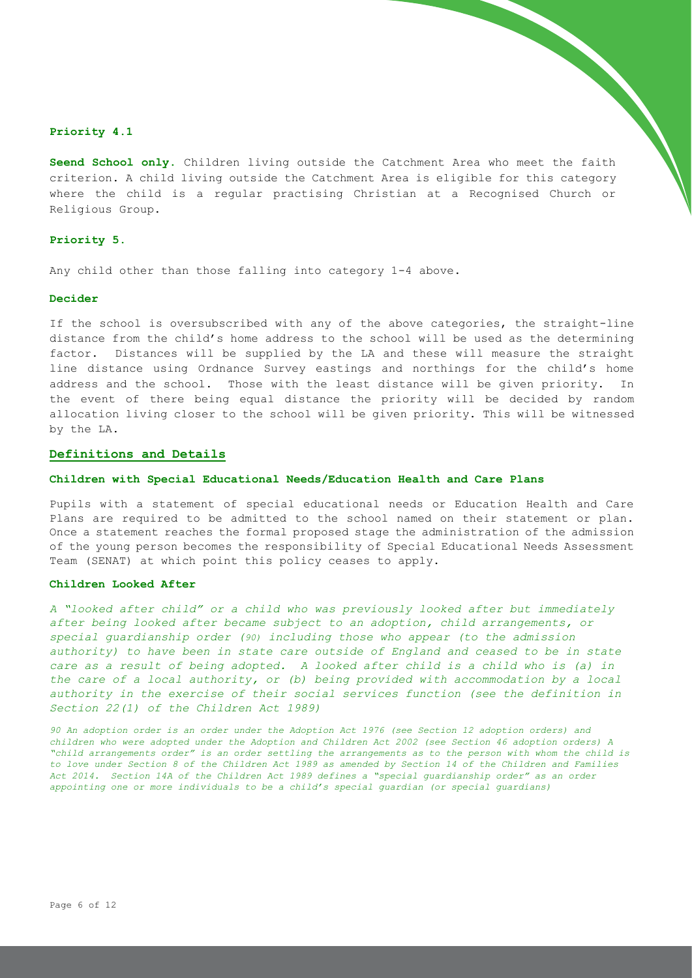## **Priority 4.1**

**Seend School only.** Children living outside the Catchment Area who meet the faith criterion. A child living outside the Catchment Area is eligible for this category where the child is a regular practising Christian at a Recognised Church or Religious Group.

### **Priority 5.**

Any child other than those falling into category 1-4 above.

## **Decider**

If the school is oversubscribed with any of the above categories, the straight-line distance from the child's home address to the school will be used as the determining factor. Distances will be supplied by the LA and these will measure the straight line distance using Ordnance Survey eastings and northings for the child's home address and the school. Those with the least distance will be given priority. In the event of there being equal distance the priority will be decided by random allocation living closer to the school will be given priority. This will be witnessed by the LA.

## **Definitions and Details**

#### **Children with Special Educational Needs/Education Health and Care Plans**

Pupils with a statement of special educational needs or Education Health and Care Plans are required to be admitted to the school named on their statement or plan. Once a statement reaches the formal proposed stage the administration of the admission of the young person becomes the responsibility of Special Educational Needs Assessment Team (SENAT) at which point this policy ceases to apply.

## **Children Looked After**

*A "looked after child" or a child who was previously looked after but immediately after being looked after became subject to an adoption, child arrangements, or special guardianship order (90) including those who appear (to the admission authority) to have been in state care outside of England and ceased to be in state care as a result of being adopted. A looked after child is a child who is (a) in the care of a local authority, or (b) being provided with accommodation by a local authority in the exercise of their social services function (see the definition in Section 22(1) of the Children Act 1989)*

*90 An adoption order is an order under the Adoption Act 1976 (see Section 12 adoption orders) and children who were adopted under the Adoption and Children Act 2002 (see Section 46 adoption orders) A "child arrangements order" is an order settling the arrangements as to the person with whom the child is to love under Section 8 of the Children Act 1989 as amended by Section 14 of the Children and Families Act 2014. Section 14A of the Children Act 1989 defines a "special guardianship order" as an order appointing one or more individuals to be a child's special guardian (or special guardians)*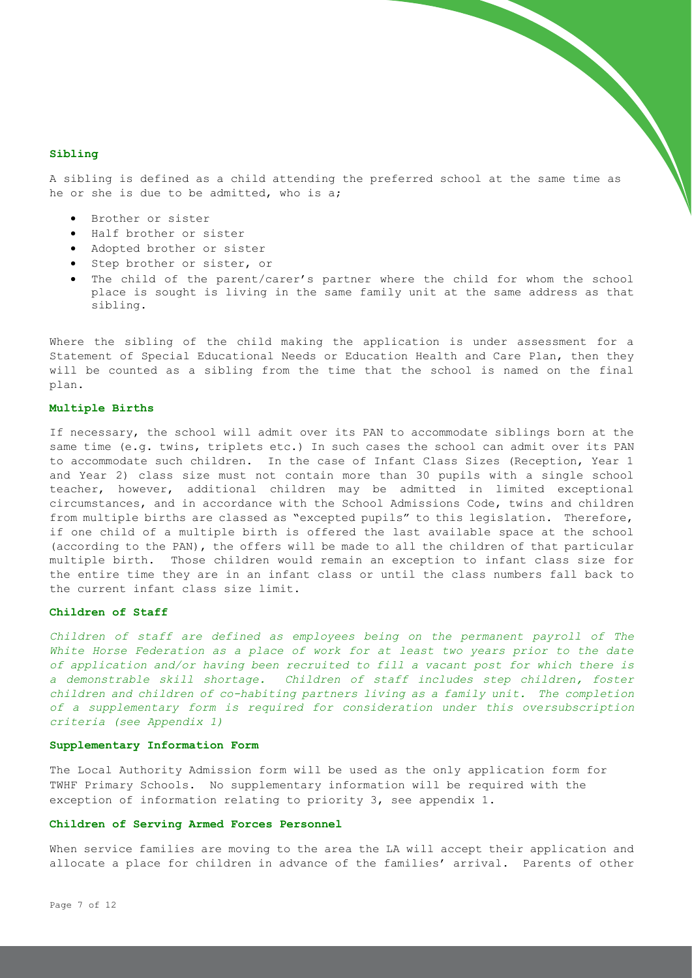## **Sibling**

A sibling is defined as a child attending the preferred school at the same time as he or she is due to be admitted, who is a;

- Brother or sister
- Half brother or sister
- Adopted brother or sister
- Step brother or sister, or
- The child of the parent/carer's partner where the child for whom the school place is sought is living in the same family unit at the same address as that sibling.

Where the sibling of the child making the application is under assessment for a Statement of Special Educational Needs or Education Health and Care Plan, then they will be counted as a sibling from the time that the school is named on the final plan.

## **Multiple Births**

If necessary, the school will admit over its PAN to accommodate siblings born at the same time (e.g. twins, triplets etc.) In such cases the school can admit over its PAN to accommodate such children. In the case of Infant Class Sizes (Reception, Year 1 and Year 2) class size must not contain more than 30 pupils with a single school teacher, however, additional children may be admitted in limited exceptional circumstances, and in accordance with the School Admissions Code, twins and children from multiple births are classed as "excepted pupils" to this legislation. Therefore, if one child of a multiple birth is offered the last available space at the school (according to the PAN), the offers will be made to all the children of that particular multiple birth. Those children would remain an exception to infant class size for the entire time they are in an infant class or until the class numbers fall back to the current infant class size limit.

#### **Children of Staff**

Children of staff are defined as employees being on the permanent payroll of The *White Horse Federation as a place of work for at least two years prior to the date of application and/or having been recruited to fill a vacant post for which there is a demonstrable skill shortage. Children of staff includes step children, foster children and children of co-habiting partners living as a family unit. The completion of a supplementary form is required for consideration under this oversubscription criteria (see Appendix 1)*

#### **Supplementary Information Form**

The Local Authority Admission form will be used as the only application form for TWHF Primary Schools. No supplementary information will be required with the exception of information relating to priority 3, see appendix 1.

#### **Children of Serving Armed Forces Personnel**

When service families are moving to the area the LA will accept their application and allocate a place for children in advance of the families' arrival. Parents of other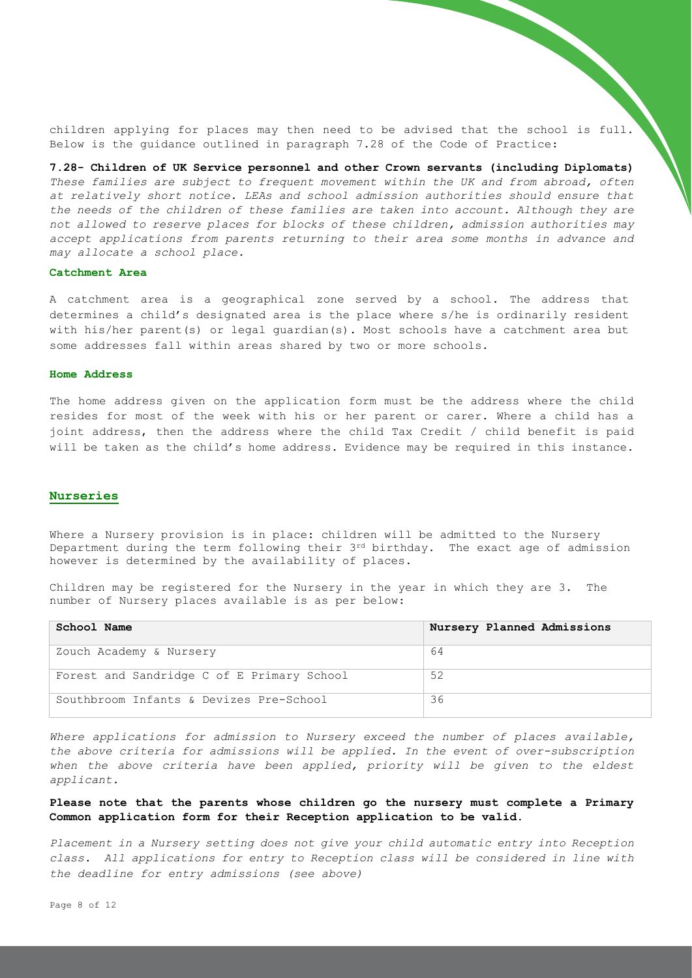children applying for places may then need to be advised that the school is full. Below is the guidance outlined in paragraph 7.28 of the Code of Practice:

**7.28- Children of UK Service personnel and other Crown servants (including Diplomats)** *These families are subject to frequent movement within the UK and from abroad, often at relatively short notice. LEAs and school admission authorities should ensure that the needs of the children of these families are taken into account. Although they are not allowed to reserve places for blocks of these children, admission authorities may accept applications from parents returning to their area some months in advance and may allocate a school place.*

## **Catchment Area**

A catchment area is a geographical zone served by a school. The address that determines a child's designated area is the place where s/he is ordinarily resident with his/her parent(s) or legal quardian(s). Most schools have a catchment area but some addresses fall within areas shared by two or more schools.

#### **Home Address**

The home address given on the application form must be the address where the child resides for most of the week with his or her parent or carer. Where a child has a joint address, then the address where the child Tax Credit / child benefit is paid will be taken as the child's home address. Evidence may be required in this instance.

#### **Nurseries**

Where a Nursery provision is in place: children will be admitted to the Nursery Department during the term following their  $3^{rd}$  birthday. The exact age of admission however is determined by the availability of places.

Children may be registered for the Nursery in the year in which they are 3. The number of Nursery places available is as per below:

| School Name                                | Nursery Planned Admissions |
|--------------------------------------------|----------------------------|
| Zouch Academy & Nursery                    | 64                         |
| Forest and Sandridge C of E Primary School | 52                         |
| Southbroom Infants & Devizes Pre-School    | 36                         |

*Where applications for admission to Nursery exceed the number of places available, the above criteria for admissions will be applied. In the event of over-subscription*  when the above criteria have been applied, priority will be given to the eldest *applicant.* 

## **Please note that the parents whose children go the nursery must complete a Primary Common application form for their Reception application to be valid.**

*Placement in a Nursery setting does not give your child automatic entry into Reception class. All applications for entry to Reception class will be considered in line with the deadline for entry admissions (see above)*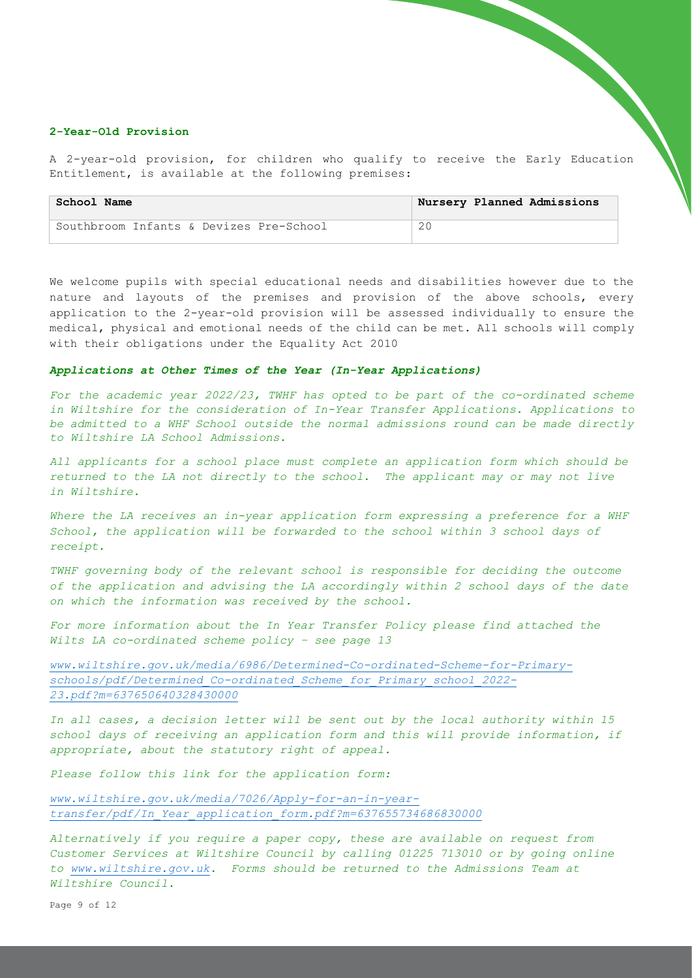## **2-Year-Old Provision**

A 2-year-old provision, for children who qualify to receive the Early Education Entitlement, is available at the following premises:

| School Name                             | Nursery Planned Admissions |
|-----------------------------------------|----------------------------|
| Southbroom Infants & Devizes Pre-School |                            |

We welcome pupils with special educational needs and disabilities however due to the nature and layouts of the premises and provision of the above schools, every application to the 2-year-old provision will be assessed individually to ensure the medical, physical and emotional needs of the child can be met. All schools will comply with their obligations under the Equality Act 2010

## *Applications at Other Times of the Year (In-Year Applications)*

*For the academic year 2022/23, TWHF has opted to be part of the co-ordinated scheme in Wiltshire for the consideration of In-Year Transfer Applications. Applications to be admitted to a WHF School outside the normal admissions round can be made directly to Wiltshire LA School Admissions.* 

*All applicants for a school place must complete an application form which should be returned to the LA not directly to the school. The applicant may or may not live in Wiltshire.*

*Where the LA receives an in-year application form expressing a preference for a WHF School, the application will be forwarded to the school within 3 school days of receipt.*

*TWHF governing body of the relevant school is responsible for deciding the outcome of the application and advising the LA accordingly within 2 school days of the date on which the information was received by the school.*

For more information about the In Year Transfer Policy please find attached the *Wilts LA co-ordinated scheme policy – see page 13*

*[www.wiltshire.gov.uk/media/6986/Determined-Co-ordinated-Scheme-for-Primary](http://www.wiltshire.gov.uk/media/6986/Determined-Co-ordinated-Scheme-for-Primary-schools/pdf/Determined_Co-ordinated_Scheme_for_Primary_school_2022-23.pdf?m=637650640328430000)[schools/pdf/Determined\\_Co-ordinated\\_Scheme\\_for\\_Primary\\_school\\_2022-](http://www.wiltshire.gov.uk/media/6986/Determined-Co-ordinated-Scheme-for-Primary-schools/pdf/Determined_Co-ordinated_Scheme_for_Primary_school_2022-23.pdf?m=637650640328430000) [23.pdf?m=637650640328430000](http://www.wiltshire.gov.uk/media/6986/Determined-Co-ordinated-Scheme-for-Primary-schools/pdf/Determined_Co-ordinated_Scheme_for_Primary_school_2022-23.pdf?m=637650640328430000)*

*In all cases, a decision letter will be sent out by the local authority within 15 school days of receiving an application form and this will provide information, if appropriate, about the statutory right of appeal.*

*Please follow this link for the application form:*

*[www.wiltshire.gov.uk/media/7026/Apply-for-an-in-year](http://www.wiltshire.gov.uk/media/7026/Apply-for-an-in-year-transfer/pdf/In_Year_application_form.pdf?m=637655734686830000)[transfer/pdf/In\\_Year\\_application\\_form.pdf?m=637655734686830000](http://www.wiltshire.gov.uk/media/7026/Apply-for-an-in-year-transfer/pdf/In_Year_application_form.pdf?m=637655734686830000)*

*Alternatively if you require a paper copy, these are available on request from Customer Services at Wiltshire Council by calling 01225 713010 or by going online to [www.wiltshire.gov.uk.](http://www.wiltshire.gov.uk/) Forms should be returned to the Admissions Team at Wiltshire Council.*

Page 9 of 12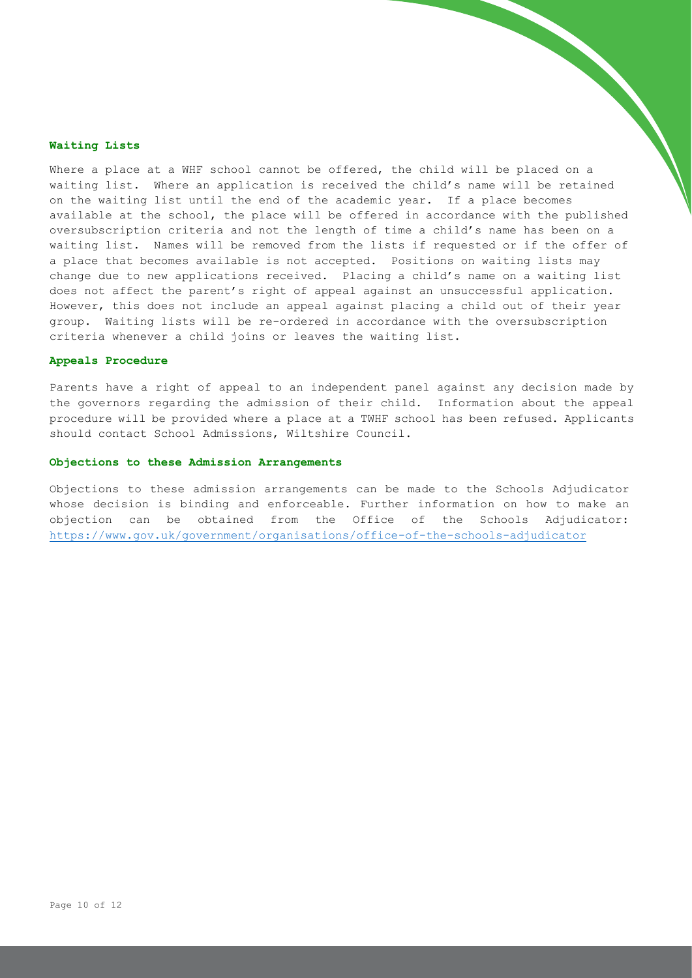#### **Waiting Lists**

Where a place at a WHF school cannot be offered, the child will be placed on a waiting list. Where an application is received the child's name will be retained on the waiting list until the end of the academic year. If a place becomes available at the school, the place will be offered in accordance with the published oversubscription criteria and not the length of time a child's name has been on a waiting list. Names will be removed from the lists if requested or if the offer of a place that becomes available is not accepted. Positions on waiting lists may change due to new applications received. Placing a child's name on a waiting list does not affect the parent's right of appeal against an unsuccessful application. However, this does not include an appeal against placing a child out of their year group. Waiting lists will be re-ordered in accordance with the oversubscription criteria whenever a child joins or leaves the waiting list.

### **Appeals Procedure**

Parents have a right of appeal to an independent panel against any decision made by the governors regarding the admission of their child. Information about the appeal procedure will be provided where a place at a TWHF school has been refused. Applicants should contact School Admissions, Wiltshire Council.

## **Objections to these Admission Arrangements**

Objections to these admission arrangements can be made to the Schools Adjudicator whose decision is binding and enforceable. Further information on how to make an objection can be obtained from the Office of the Schools Adjudicator: <https://www.gov.uk/government/organisations/office-of-the-schools-adjudicator>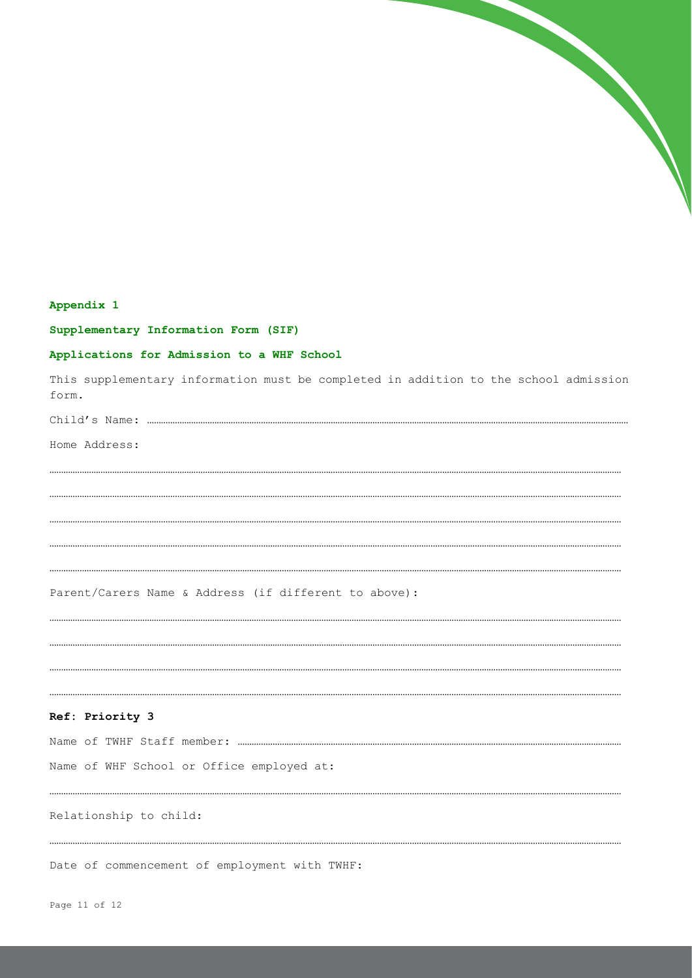

# Appendix 1

Supplementary Information Form (SIF)

# Applications for Admission to a WHF School

This supplementary information must be completed in addition to the school admission form.

Home Address:

Parent/Carers Name & Address (if different to above):

## Ref: Priority 3

Name of WHF School or Office employed at:

#### Relationship to child:

Date of commencement of employment with TWHF: